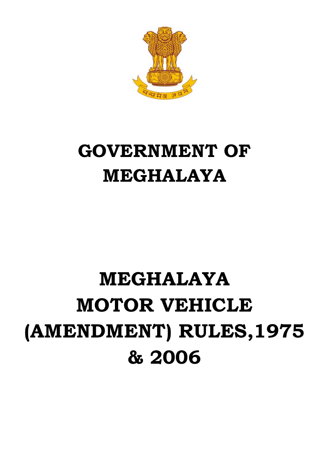

# **GOVERNMENT OF MEGHALAYA**

# **MEGHALAYA MOTOR VEHICLE (AMENDMENT) RULES,1975 & 2006**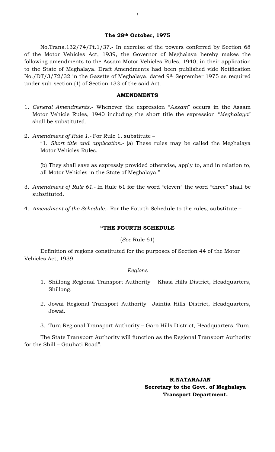# **The 28th October, 1975**

 No.Trans.132/74/Pt.1/37.- In exercise of the powers conferred by Section 68 of the Motor Vehicles Act, 1939, the Governor of Meghalaya hereby makes the following amendments to the Assam Motor Vehicles Rules, 1940, in their application to the State of Meghalaya. Draft Amendments had been published vide Notification No./DT/3/72/32 in the Gazette of Meghalaya, dated 9th September 1975 as required under sub-section (1) of Section 133 of the said Act.

#### **AMENDMENTS**

- 1. *General Amendments*.- Whenever the expression "*Assam*" occurs in the Assam Motor Vehicle Rules, 1940 including the short title the expression "*Meghalaya*" shall be substituted.
- 2. *Amendment of Rule 1.-* For Rule 1, substitute "1. *Short title and application.-* (a) These rules may be called the Meghalaya Motor Vehicles Rules.

(b) They shall save as expressly provided otherwise, apply to, and in relation to, all Motor Vehicles in the State of Meghalaya."

- 3. *Amendment of Rule 61.-* In Rule 61 for the word "eleven" the word "three" shall be substituted.
- 4. *Amendment of the Schedule.* For the Fourth Schedule to the rules, substitute –

# **"THE FOURTH SCHEDULE**

### (*See* Rule 61)

 Definition of regions constituted for the purposes of Section 44 of the Motor Vehicles Act, 1939.

#### *Regions*

- 1. Shillong Regional Transport Authority Khasi Hills District, Headquarters, Shillong.
- 2. Jowai Regional Transport Authority– Jaintia Hills District, Headquarters, Jowai.
- 3. Tura Regional Transport Authority Garo Hills District, Headquarters, Tura.

The State Transport Authority will function as the Regional Transport Authority for the Shill – Gauhati Road".

> **R.NATARAJAN Secretary to the Govt. of Meghalaya Transport Department.**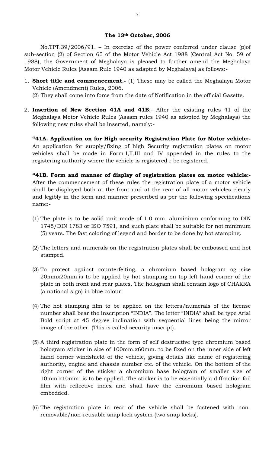#### **The 13th October, 2006**

 No.TPT.39/2006/91. – In exercise of the power conferred under clause (p)of sub-section (2) of Section 65 of the Motor Vehicle Act 1988 (Central Act No. 59 of 1988), the Government of Meghalaya is pleased to further amend the Meghalaya Motor Vehicle Rules (Assam Rule 1940 as adapted by Meghalaya) as follows:-

1. **Short title and commencement.-** (1) These may be called the Meghalaya Motor Vehicle (Amendment) Rules, 2006.

(2) They shall come into force from the date of Notification in the official Gazette.

2. **Insertion of New Section 41A and 41B**:- After the existing rules 41 of the Meghalaya Motor Vehicle Rules (Assam rules 1940 as adopted by Meghalaya) the following new rules shall be inserted, namely:-

**"41A. Application on for High security Registration Plate for Motor vehicle:-**  An application for supply/fixing of high Security registration plates on motor vehicles shall be made in Form-I,II,III and IV appended in the rules to the registering authority where the vehicle is registered r be registered.

**"41B. Form and manner of display of registration plates on motor vehicle:-**  After the commencement of these rules the registration plate of a motor vehicle shall be displayed both at the front and at the rear of all motor vehicles clearly and legibly in the form and manner prescribed as per the following specifications name:-

- (1) The plate is to be solid unit made of 1.0 mm. aluminium conforming to DIN 1745/DIN 1783 or ISO 7591, and such plate shall be suitable for not minimum (5) years. The fast coloring of legend and border to be done by hot stamping.
- (2) The letters and numerals on the registration plates shall be embossed and hot stamped.
- (3) To protect against counterfeiting, a chromium based hologram og size 20mmx20mm.is to be applied by hot stamping on top left hand corner of the plate in both front and rear plates. The hologram shall contain logo of CHAKRA (a national sign) in blue colour.
- (4) The hot stamping film to be applied on the letters/numerals of the license number shall bear the inscription "INDIA". The letter "INDIA" shall be type Arial Bold script at 45 degree inclination with sequential lines being the mirror image of the other. (This is called security inscript).
- (5) A third registration plate in the form of self destructive type chromium based hologram sticker in size of 100mm.x60mm. to be fixed on the inner side of left hand corner windshield of the vehicle, giving details like name of registering authority, engine and chassis number etc. of the vehicle. On the bottom of the right corner of the sticker a chromium base hologram of smaller size of 10mm.x10mm. is to be applied. The sticker is to be essentially a diffraction foil film with reflective index and shall have the chromium based hologram embedded.
- (6) The registration plate in rear of the vehicle shall be fastened with nonremovable/non-reusable snap lock system (two snap locks).